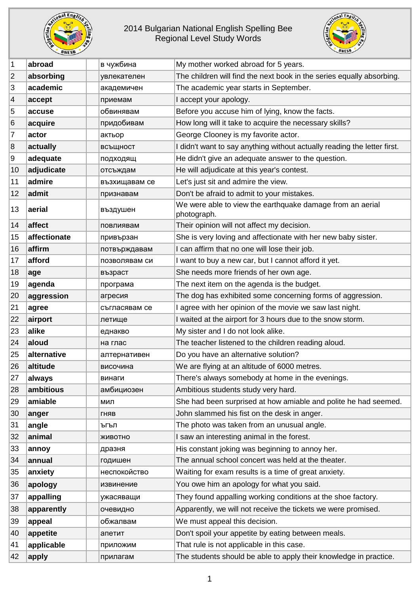

## 2014 Bulgarian National English Spelling Bee Regional Level Study Words



| $\mathbf 1$      | abroad       | в чужбина     | My mother worked abroad for 5 years.                                     |
|------------------|--------------|---------------|--------------------------------------------------------------------------|
| $\overline{2}$   | absorbing    | увлекателен   | The children will find the next book in the series equally absorbing.    |
| 3                | academic     | академичен    | The academic year starts in September.                                   |
| $\overline{4}$   | accept       | приемам       | I accept your apology.                                                   |
| 5                | accuse       | обвинявам     | Before you accuse him of lying, know the facts.                          |
| 6                | acquire      | придобивам    | How long will it take to acquire the necessary skills?                   |
| 7                | actor        | актьор        | George Clooney is my favorite actor.                                     |
| $\boldsymbol{8}$ | actually     | всъщност      | I didn't want to say anything without actually reading the letter first. |
| 9                | adequate     | подходящ      | He didn't give an adequate answer to the question.                       |
| 10               | adjudicate   | отсъждам      | He will adjudicate at this year's contest.                               |
| 11               | admire       | възхищавам се | Let's just sit and admire the view.                                      |
| 12               | admit        | признавам     | Don't be afraid to admit to your mistakes.                               |
| 13               | aerial       | въздушен      | We were able to view the earthquake damage from an aerial<br>photograph. |
| 14               | affect       | повлиявам     | Their opinion will not affect my decision.                               |
| 15               | affectionate | привързан     | She is very loving and affectionate with her new baby sister.            |
| 16               | affirm       | потвърждавам  | I can affirm that no one will lose their job.                            |
| 17               | afford       | позволявам си | I want to buy a new car, but I cannot afford it yet.                     |
| 18               | age          | възраст       | She needs more friends of her own age.                                   |
| 19               | agenda       | програма      | The next item on the agenda is the budget.                               |
| 20               | aggression   | агресия       | The dog has exhibited some concerning forms of aggression.               |
| 21               | agree        | съгласявам се | I agree with her opinion of the movie we saw last night.                 |
| 22               | airport      | летище        | I waited at the airport for 3 hours due to the snow storm.               |
| 23               | alike        | еднакво       | My sister and I do not look alike.                                       |
| 24               | aloud        | на глас       | The teacher listened to the children reading aloud.                      |
| 25               | alternative  | алтернативен  | Do you have an alternative solution?                                     |
| 26               | altitude     | височина      | We are flying at an altitude of 6000 metres.                             |
| 27               | always       | винаги        | There's always somebody at home in the evenings.                         |
| 28               | ambitious    | амбициозен    | Ambitious students study very hard.                                      |
| 29               | amiable      | МИЛ           | She had been surprised at how amiable and polite he had seemed.          |
| 30               | anger        | ГНЯВ          | John slammed his fist on the desk in anger.                              |
| 31               | angle        | ъгъл          | The photo was taken from an unusual angle.                               |
| 32               | animal       | ЖИВОТНО       | I saw an interesting animal in the forest.                               |
| 33               | annoy        | дразня        | His constant joking was beginning to annoy her.                          |
| 34               | annual       | годишен       | The annual school concert was held at the theater.                       |
| 35               | anxiety      | неспокойство  | Waiting for exam results is a time of great anxiety.                     |
| 36               | apology      | извинение     | You owe him an apology for what you said.                                |
| 37               | appalling    | ужасяващи     | They found appalling working conditions at the shoe factory.             |
| 38               | apparently   | очевидно      | Apparently, we will not receive the tickets we were promised.            |
| 39               | appeal       | обжалвам      | We must appeal this decision.                                            |
| 40               | appetite     | апетит        | Don't spoil your appetite by eating between meals.                       |
| 41               | applicable   | приложим      | That rule is not applicable in this case.                                |
| 42               | apply        | прилагам      | The students should be able to apply their knowledge in practice.        |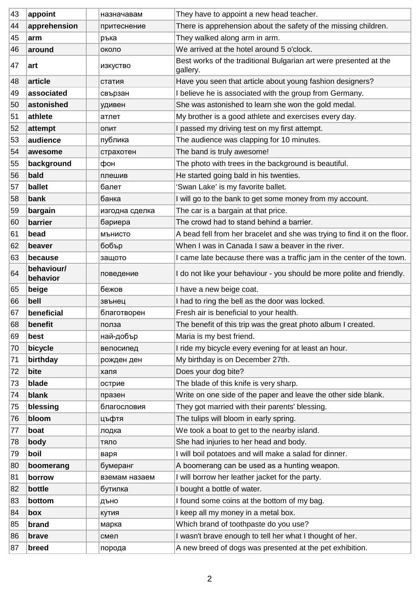| 43 | appoint                | назначавам     | They have to appoint a new head teacher.                                      |
|----|------------------------|----------------|-------------------------------------------------------------------------------|
| 44 | apprehension           | притеснение    | There is apprehension about the safety of the missing children.               |
| 45 | arm                    | ръка           | They walked along arm in arm.                                                 |
| 46 | around                 | около          | We arrived at the hotel around 5 o'clock.                                     |
| 47 | art                    | изкуство       | Best works of the traditional Bulgarian art were presented at the<br>gallery. |
| 48 | article                | статия         | Have you seen that article about young fashion designers?                     |
| 49 | associated             | свързан        | I believe he is associated with the group from Germany.                       |
| 50 | astonished             | удивен         | She was astonished to learn she won the gold medal.                           |
| 51 | athlete                | атлет          | My brother is a good athlete and exercises every day.                         |
| 52 | attempt                | опит           | I passed my driving test on my first attempt.                                 |
| 53 | audience               | публика        | The audience was clapping for 10 minutes.                                     |
| 54 | awesome                | страхотен      | The band is truly awesome!                                                    |
| 55 | background             | фон            | The photo with trees in the background is beautiful.                          |
| 56 | bald                   | плешив         | He started going bald in his twenties.                                        |
| 57 | ballet                 | балет          | 'Swan Lake' is my favorite ballet.                                            |
| 58 | bank                   | банка          | I will go to the bank to get some money from my account.                      |
| 59 | bargain                | изгодна сделка | The car is a bargain at that price.                                           |
| 60 | barrier                | бариера        | The crowd had to stand behind a barrier.                                      |
| 61 | bead                   | МЪНИСТО        | A bead fell from her bracelet and she was trying to find it on the floor.     |
| 62 | beaver                 | бобър          | When I was in Canada I saw a beaver in the river.                             |
| 63 | because                | защото         | I came late because there was a traffic jam in the center of the town.        |
| 64 | behaviour/<br>behavior | поведение      | I do not like your behaviour - you should be more polite and friendly.        |
| 65 | beige                  | бежов          | I have a new beige coat.                                                      |
| 66 | bell                   | звънец         | I had to ring the bell as the door was locked.                                |
| 67 | beneficial             | благотворен    | Fresh air is beneficial to your health.                                       |
| 68 | benefit                | полза          | The benefit of this trip was the great photo album I created.                 |
| 69 | best                   | най-добър      | Maria is my best friend.                                                      |
| 70 | bicycle                | велосипед      | I ride my bicycle every evening for at least an hour.                         |
| 71 | birthday               | рожден ден     | My birthday is on December 27th.                                              |
| 72 | bite                   | хапя           | Does your dog bite?                                                           |
| 73 | blade                  | острие         | The blade of this knife is very sharp.                                        |
| 74 | blank                  | празен         | Write on one side of the paper and leave the other side blank.                |
| 75 | blessing               | благословия    | They got married with their parents' blessing.                                |
| 76 | bloom                  | цъфтя          | The tulips will bloom in early spring.                                        |
| 77 | boat                   | лодка          | We took a boat to get to the nearby island.                                   |
| 78 | body                   | тяло           | She had injuries to her head and body.                                        |
| 79 | boil                   | варя           | I will boil potatoes and will make a salad for dinner.                        |
| 80 | boomerang              | бумеранг       | A boomerang can be used as a hunting weapon.                                  |
| 81 | borrow                 | вземам назаем  | I will borrow her leather jacket for the party.                               |
| 82 | bottle                 | бутилка        | I bought a bottle of water.                                                   |
| 83 | bottom                 | дъно           | I found some coins at the bottom of my bag.                                   |
| 84 | box                    | кутия          | I keep all my money in a metal box.                                           |
| 85 | brand                  | марка          | Which brand of toothpaste do you use?                                         |
| 86 | brave                  | смел           | I wasn't brave enough to tell her what I thought of her.                      |
| 87 | breed                  | порода         | A new breed of dogs was presented at the pet exhibition.                      |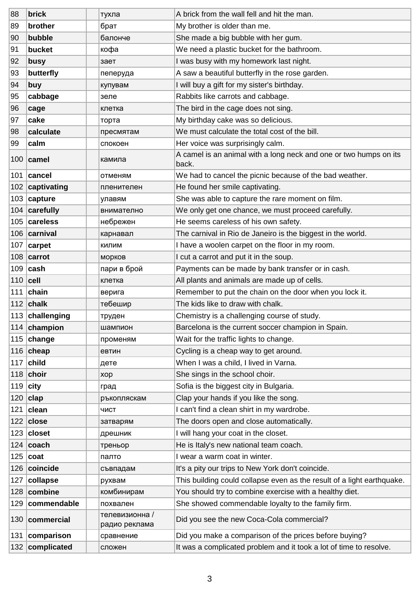| 88         | brick              | тухла                           | A brick from the wall fell and hit the man.                                |
|------------|--------------------|---------------------------------|----------------------------------------------------------------------------|
| 89         | brother            | брат                            | My brother is older than me.                                               |
| 90         | bubble             | балонче                         | She made a big bubble with her gum.                                        |
| 91         | bucket             | кофа                            | We need a plastic bucket for the bathroom.                                 |
| 92         | busy               | зает                            | I was busy with my homework last night.                                    |
| 93         | butterfly          | пеперуда                        | A saw a beautiful butterfly in the rose garden.                            |
| 94         | buy                | купувам                         | I will buy a gift for my sister's birthday.                                |
| 95         | cabbage            | зеле                            | Rabbits like carrots and cabbage.                                          |
| 96         | cage               | клетка                          | The bird in the cage does not sing.                                        |
| 97         | cake               | торта                           | My birthday cake was so delicious.                                         |
| 98         | calculate          | пресмятам                       | We must calculate the total cost of the bill.                              |
| 99         | calm               | спокоен                         | Her voice was surprisingly calm.                                           |
|            | $100$ camel        | камила                          | A camel is an animal with a long neck and one or two humps on its<br>back. |
| 101        | cancel             | отменям                         | We had to cancel the picnic because of the bad weather.                    |
|            | 102 captivating    | пленителен                      | He found her smile captivating.                                            |
|            | $103$ capture      | улавям                          | She was able to capture the rare moment on film.                           |
|            | 104 carefully      | внимателно                      | We only get one chance, we must proceed carefully.                         |
|            | 105 careless       | небрежен                        | He seems careless of his own safety.                                       |
|            | 106 carnival       | карнавал                        | The carnival in Rio de Janeiro is the biggest in the world.                |
|            | 107 $  \n{carpet}$ | КИЛИМ                           | I have a woolen carpet on the floor in my room.                            |
|            | $108$ carrot       | морков                          | I cut a carrot and put it in the soup.                                     |
|            | $109$ cash         | пари в брой                     | Payments can be made by bank transfer or in cash.                          |
| $110$ cell |                    | клетка                          | All plants and animals are made up of cells.                               |
|            | 111 $ $ chain      | верига                          | Remember to put the chain on the door when you lock it.                    |
|            | 112 $ $ chalk      | тебешир                         | The kids like to draw with chalk.                                          |
|            | 113 challenging    | труден                          | Chemistry is a challenging course of study.                                |
|            | 114 champion       | шампион                         | Barcelona is the current soccer champion in Spain.                         |
|            | 115 $ change$      | променям                        | Wait for the traffic lights to change.                                     |
|            | 116 $ $ cheap      | евтин                           | Cycling is a cheap way to get around.                                      |
|            | $117$ child        | дете                            | When I was a child, I lived in Varna.                                      |
|            | 118 $ choir$       | xop                             | She sings in the school choir.                                             |
| 119        | ∣city              | град                            | Sofia is the biggest city in Bulgaria.                                     |
|            | $120$ clap         | ръкопляскам                     | Clap your hands if you like the song.                                      |
| 121        | clean              | ЧИСТ                            | I can't find a clean shirt in my wardrobe.                                 |
|            | 122 $close$        | затварям                        | The doors open and close automatically.                                    |
|            | $123$ closet       | дрешник                         | I will hang your coat in the closet.                                       |
|            | 124 $ $ coach      | треньор                         | He is Italy's new national team coach.                                     |
|            | 125 $ cost$        | палто                           | I wear a warm coat in winter.                                              |
|            | 126 coincide       | съвпадам                        | It's a pity our trips to New York don't coincide.                          |
| 127        | collapse           | рухвам                          | This building could collapse even as the result of a light earthquake.     |
| 128        | combine            | комбинирам                      | You should try to combine exercise with a healthy diet.                    |
| 129        | commendable        | похвален                        | She showed commendable loyalty to the family firm.                         |
|            | 130 commercial     | телевизионна /<br>радио реклама | Did you see the new Coca-Cola commercial?                                  |
|            | 131 comparison     | сравнение                       | Did you make a comparison of the prices before buying?                     |
|            | 132 complicated    | сложен                          | It was a complicated problem and it took a lot of time to resolve.         |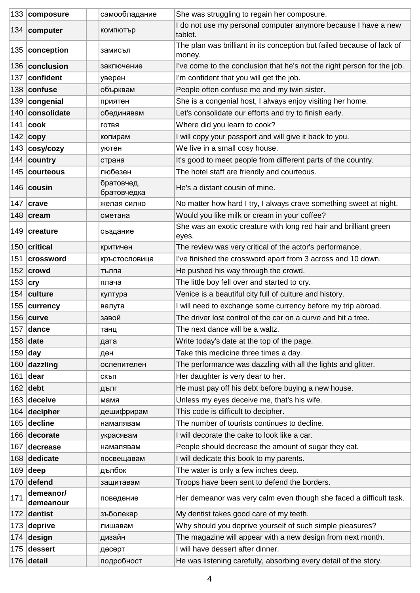|             | 133 composure                   | самообладание             | She was struggling to regain her composure.                                      |
|-------------|---------------------------------|---------------------------|----------------------------------------------------------------------------------|
|             | 134 computer                    | компютър                  | I do not use my personal computer anymore because I have a new<br>tablet.        |
|             | 135   conception                | замисъл                   | The plan was brilliant in its conception but failed because of lack of<br>money. |
|             | 136 conclusion                  | заключение                | I've come to the conclusion that he's not the right person for the job.          |
|             | 137 confident                   | уверен                    | I'm confident that you will get the job.                                         |
|             | 138 confuse                     | обърквам                  | People often confuse me and my twin sister.                                      |
| 139         | congenial                       | приятен                   | She is a congenial host, I always enjoy visiting her home.                       |
|             | 140 consolidate                 | обединявам                | Let's consolidate our efforts and try to finish early.                           |
|             | 141 $\vert \textbf{cook} \vert$ | ГОТВЯ                     | Where did you learn to cook?                                                     |
|             | 142 copy                        | копирам                   | I will copy your passport and will give it back to you.                          |
|             | $143$ cosy/cozy                 | уютен                     | We live in a small cosy house.                                                   |
|             | 144 country                     | страна                    | It's good to meet people from different parts of the country.                    |
|             | 145 courteous                   | любезен                   | The hotel staff are friendly and courteous.                                      |
|             | 146 cousin                      | братовчед,<br>братовчедка | He's a distant cousin of mine.                                                   |
|             | 147 $ crave$                    | желая силно               | No matter how hard I try, I always crave something sweet at night.               |
|             | 148 $ $ cream                   | сметана                   | Would you like milk or cream in your coffee?                                     |
|             | 149 creature                    | създание                  | She was an exotic creature with long red hair and brilliant green<br>eyes.       |
|             | 150 critical                    | критичен                  | The review was very critical of the actor's performance.                         |
|             | 151 crossword                   | кръстословица             | I've finished the crossword apart from 3 across and 10 down.                     |
|             | $152$ crowd                     | тълпа                     | He pushed his way through the crowd.                                             |
| 153 $ $ cry |                                 | плача                     | The little boy fell over and started to cry.                                     |
|             | 154 culture                     | култура                   | Venice is a beautiful city full of culture and history.                          |
|             | 155 currency                    | валута                    | I will need to exchange some currency before my trip abroad.                     |
|             | 156 $curve$                     | завой                     | The driver lost control of the car on a curve and hit a tree.                    |
|             | 157 dance                       | танц                      | The next dance will be a waltz.                                                  |
| 158         | date                            | дата                      | Write today's date at the top of the page.                                       |
| $159$ day   |                                 | ден                       | Take this medicine three times a day.                                            |
| 160         | dazzling                        | ослепителен               | The performance was dazzling with all the lights and glitter.                    |
| 161         | dear                            | скъп                      | Her daughter is very dear to her.                                                |
|             | $162$ debt                      | дълг                      | He must pay off his debt before buying a new house.                              |
| 163         | deceive                         | мамя                      | Unless my eyes deceive me, that's his wife.                                      |
| 164         | decipher                        | дешифрирам                | This code is difficult to decipher.                                              |
| 165         | decline                         | намалявам                 | The number of tourists continues to decline.                                     |
| 166         | decorate                        | украсявам                 | I will decorate the cake to look like a car.                                     |
| 167         | decrease                        | намалявам                 | People should decrease the amount of sugar they eat.                             |
|             | 168 dedicate                    | посвещавам                | I will dedicate this book to my parents.                                         |
| 169         | deep                            | дълбок                    | The water is only a few inches deep.                                             |
| 170         | defend                          | защитавам                 | Troops have been sent to defend the borders.                                     |
| 171         | demeanor/<br>demeanour          | поведение                 | Her demeanor was very calm even though she faced a difficult task.               |
|             | 172 dentist                     | зъболекар                 | My dentist takes good care of my teeth.                                          |
|             | $173$ deprive                   | лишавам                   | Why should you deprive yourself of such simple pleasures?                        |
| 174         | design                          | дизайн                    | The magazine will appear with a new design from next month.                      |
| 175         | dessert                         | десерт                    | I will have dessert after dinner.                                                |
|             | $176$ detail                    | подробност                | He was listening carefully, absorbing every detail of the story.                 |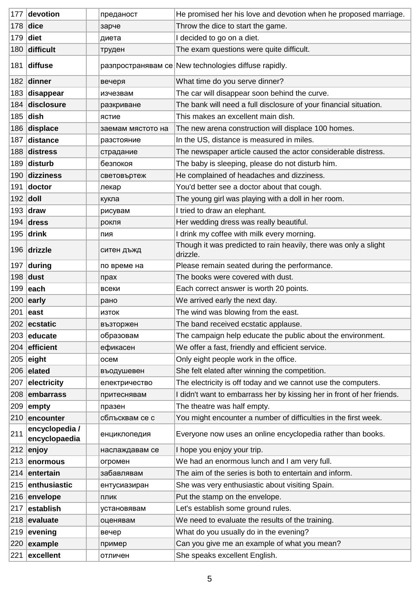| 177           | devotion                        | преданост         | He promised her his love and devotion when he proposed marriage.             |
|---------------|---------------------------------|-------------------|------------------------------------------------------------------------------|
| 178           | $ $ dice                        | зарче             | Throw the dice to start the game.                                            |
| 179           | diet                            | диета             | I decided to go on a diet.                                                   |
| 180           | difficult                       | труден            | The exam questions were quite difficult.                                     |
|               | 181 diffuse                     |                   | разпространявам се New technologies diffuse rapidly.                         |
|               | 182 dinner                      | вечеря            | What time do you serve dinner?                                               |
| 183           | disappear                       | изчезвам          | The car will disappear soon behind the curve.                                |
|               | 184 disclosure                  | разкриване        | The bank will need a full disclosure of your financial situation.            |
|               | $185$ dish                      | ястие             | This makes an excellent main dish.                                           |
|               | 186 displace                    | заемам мястото на | The new arena construction will displace 100 homes.                          |
| 187           | distance                        | разстояние        | In the US, distance is measured in miles.                                    |
|               | 188 distress                    | страдание         | The newspaper article caused the actor considerable distress.                |
|               | 189 disturb                     | безпокоя          | The baby is sleeping, please do not disturb him.                             |
|               | 190 dizziness                   | световъртеж       | He complained of headaches and dizziness.                                    |
| 191           | doctor                          | лекар             | You'd better see a doctor about that cough.                                  |
|               | $192$ doll                      | кукла             | The young girl was playing with a doll in her room.                          |
|               | 193 $ $ draw                    | рисувам           | I tried to draw an elephant.                                                 |
|               | 194 $d$ ress                    | рокля             | Her wedding dress was really beautiful.                                      |
|               | 195 $ drink$                    | пия               | I drink my coffee with milk every morning.                                   |
|               | 196 drizzle                     | ситен дъжд        | Though it was predicted to rain heavily, there was only a slight<br>drizzle. |
| 197           | during                          | по време на       | Please remain seated during the performance.                                 |
| 198           | dust                            | прах              | The books were covered with dust.                                            |
| 199           | <b>leach</b>                    | всеки             | Each correct answer is worth 20 points.                                      |
|               | $200$ early                     | рано              | We arrived early the next day.                                               |
|               | 201 <b>east</b>                 | изток             | The wind was blowing from the east.                                          |
|               | 202 ecstatic                    | възторжен         | The band received ecstatic applause.                                         |
|               | 203 educate                     | образовам         | The campaign help educate the public about the environment.                  |
| 204           | efficient                       | ефикасен          | We offer a fast, friendly and efficient service.                             |
| 205           | eight                           | осем              | Only eight people work in the office.                                        |
|               | 206 elated                      | въодушевен        | She felt elated after winning the competition.                               |
| 207           | electricity                     | електричество     | The electricity is off today and we cannot use the computers.                |
| 208           | embarrass                       | притеснявам       | I didn't want to embarrass her by kissing her in front of her friends.       |
| 209           | empty                           | празен            | The theatre was half empty.                                                  |
|               | $210$ encounter                 | сблъсквам се с    | You might encounter a number of difficulties in the first week.              |
| 211           | encyclopedia /<br>encyclopaedia | енциклопедия      | Everyone now uses an online encyclopedia rather than books.                  |
|               | $212$ enjoy                     | наслаждавам се    | I hope you enjoy your trip.                                                  |
|               | 213 enormous                    | огромен           | We had an enormous lunch and I am very full.                                 |
|               | 214 entertain                   | забавлявам        | The aim of the series is both to entertain and inform.                       |
| 215           | enthusiastic                    | ентусиазиран      | She was very enthusiastic about visiting Spain.                              |
|               | $216$ envelope                  | ПЛИК              | Put the stamp on the envelope.                                               |
| $ 217\rangle$ | establish                       | установявам       | Let's establish some ground rules.                                           |
| 218           | evaluate                        | оценявам          | We need to evaluate the results of the training.                             |
| 219           | evening                         | вечер             | What do you usually do in the evening?                                       |
| 220           | example                         | пример            | Can you give me an example of what you mean?                                 |
| 221           | excellent                       | отличен           | She speaks excellent English.                                                |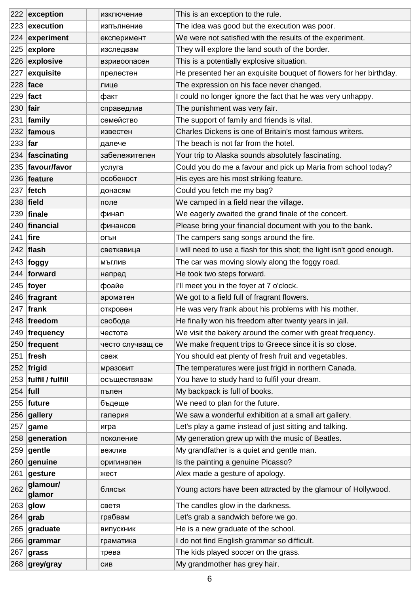|            | $222$ exception        | изключение       | This is an exception to the rule.                                      |
|------------|------------------------|------------------|------------------------------------------------------------------------|
|            | $223$ execution        | изпълнение       | The idea was good but the execution was poor.                          |
|            | $224$ experiment       | експеримент      | We were not satisfied with the results of the experiment.              |
|            | 225 $explore$          | изследвам        | They will explore the land south of the border.                        |
|            | 226 explosive          | взривоопасен     | This is a potentially explosive situation.                             |
| 227        | exquisite              | прелестен        | He presented her an exquisite bouquet of flowers for her birthday.     |
|            | $228$ face             | лице             | The expression on his face never changed.                              |
|            | $229$ fact             | факт             | I could no longer ignore the fact that he was very unhappy.            |
| $230$ fair |                        | справедлив       | The punishment was very fair.                                          |
|            | $ 231 $ family         | семейство        | The support of family and friends is vital.                            |
|            | $232$ famous           | известен         | Charles Dickens is one of Britain's most famous writers.               |
| $233$ far  |                        | далече           | The beach is not far from the hotel.                                   |
|            | 234 fascinating        | забележителен    | Your trip to Alaska sounds absolutely fascinating.                     |
|            | 235 favour/favor       | услуга           | Could you do me a favour and pick up Maria from school today?          |
|            | 236 feature            | особеност        | His eyes are his most striking feature.                                |
|            | $237$   fetch          | донасям          | Could you fetch me my bag?                                             |
|            | $238$ field            | поле             | We camped in a field near the village.                                 |
|            | $239$ finale           | финал            | We eagerly awaited the grand finale of the concert.                    |
|            | 240   financial        | финансов         | Please bring your financial document with you to the bank.             |
| $241$ fire |                        | огън             | The campers sang songs around the fire.                                |
|            | $242$ flash            | светкавица       | I will need to use a flash for this shot; the light isn't good enough. |
|            | $243$ foggy            | мъглив           | The car was moving slowly along the foggy road.                        |
|            | 244 forward            | напред           | He took two steps forward.                                             |
|            | 245   foyer            | фоайе            | I'll meet you in the foyer at 7 o'clock.                               |
|            | $246$ fragrant         | ароматен         | We got to a field full of fragrant flowers.                            |
|            | $247$ frank            | откровен         | He was very frank about his problems with his mother.                  |
|            | 248 freedom            | свобода          | He finally won his freedom after twenty years in jail.                 |
|            | $249$ frequency        | честота          | We visit the bakery around the corner with great frequency.            |
|            | 250 frequent           | често случващ се | We make frequent trips to Greece since it is so close.                 |
|            | $251$ fresh            | свеж             | You should eat plenty of fresh fruit and vegetables.                   |
|            | 252 frigid             | мразовит         | The temperatures were just frigid in northern Canada.                  |
|            | 253   fulfil / fulfill | осъществявам     | You have to study hard to fulfil your dream.                           |
| $254$ full |                        | пълен            | My backpack is full of books.                                          |
|            | $255$ future           | бъдеще           | We need to plan for the future.                                        |
|            | $256$ gallery          | галерия          | We saw a wonderful exhibition at a small art gallery.                  |
|            | $257$ game             | игра             | Let's play a game instead of just sitting and talking.                 |
|            | $258$ generation       | поколение        | My generation grew up with the music of Beatles.                       |
|            | $259$ gentle           | вежлив           | My grandfather is a quiet and gentle man.                              |
|            | 260 genuine            | оригинален       | Is the painting a genuine Picasso?                                     |
|            | $261$ gesture          | жест             | Alex made a gesture of apology.                                        |
| 262        | glamour/<br>glamor     | блясък           | Young actors have been attracted by the glamour of Hollywood.          |
|            | $263$ glow             | светя            | The candles glow in the darkness.                                      |
|            | $264$ grab             | грабвам          | Let's grab a sandwich before we go.                                    |
|            | 265 graduate           | випускник        | He is a new graduate of the school.                                    |
|            | $266$ grammar          | граматика        | I do not find English grammar so difficult.                            |
|            | $267$ grass            | трева            | The kids played soccer on the grass.                                   |
|            | 268 grey/gray          | СИВ              | My grandmother has grey hair.                                          |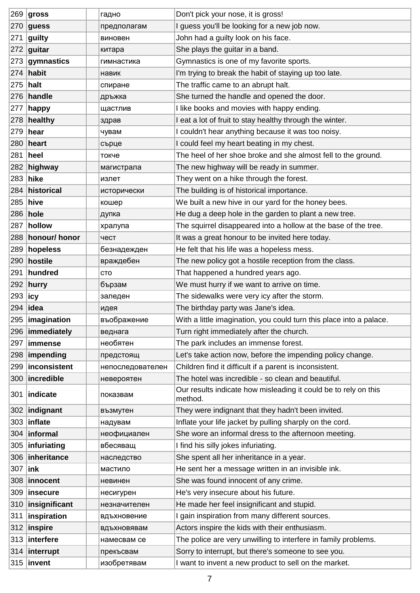|               | $269$ gross       | гадно            | Don't pick your nose, it is gross!                                         |
|---------------|-------------------|------------------|----------------------------------------------------------------------------|
| 270           | guess             | предполагам      | I guess you'll be looking for a new job now.                               |
| 271           | guilty            | виновен          | John had a guilty look on his face.                                        |
| 272           | guitar            | китара           | She plays the guitar in a band.                                            |
|               | $273$ gymnastics  | гимнастика       | Gymnastics is one of my favorite sports.                                   |
|               | 274 habit         | навик            | I'm trying to break the habit of staying up too late.                      |
| 275           | halt              | спиране          | The traffic came to an abrupt halt.                                        |
|               | $276$ handle      | дръжка           | She turned the handle and opened the door.                                 |
| 277           | happy             | щастлив          | I like books and movies with happy ending.                                 |
|               | 278 healthy       | здрав            | I eat a lot of fruit to stay healthy through the winter.                   |
| 279           | hear              | чувам            | I couldn't hear anything because it was too noisy.                         |
|               | 280 heart         | сърце            | I could feel my heart beating in my chest.                                 |
|               | 281   heel        | токче            | The heel of her shoe broke and she almost fell to the ground.              |
|               | $282$ highway     | магистрала       | The new highway will be ready in summer.                                   |
|               | 283 hike          | излет            | They went on a hike through the forest.                                    |
|               | 284 historical    | исторически      | The building is of historical importance.                                  |
|               | 285 hive          | кошер            | We built a new hive in our yard for the honey bees.                        |
|               | 286 hole          | дупка            | He dug a deep hole in the garden to plant a new tree.                      |
|               | 287 hollow        | хралупа          | The squirrel disappeared into a hollow at the base of the tree.            |
|               | 288 honour/ honor | чест             | It was a great honour to be invited here today.                            |
|               | 289 hopeless      | безнадежден      | He felt that his life was a hopeless mess.                                 |
|               | 290 hostile       | враждебен        | The new policy got a hostile reception from the class.                     |
|               | 291 hundred       | CTO              | That happened a hundred years ago.                                         |
|               | 292 hurry         | бързам           | We must hurry if we want to arrive on time.                                |
| 293           | ∣icy              | заледен          | The sidewalks were very icy after the storm.                               |
|               | 294 lidea         | идея             | The birthday party was Jane's idea.                                        |
|               | 295   imagination | въображение      | With a little imagination, you could turn this place into a palace.        |
|               | 296   immediately | веднага          | Turn right immediately after the church.                                   |
| 297           | immense           | необятен         | The park includes an immense forest.                                       |
| 298           | impending         | предстоящ        | Let's take action now, before the impending policy change.                 |
| 299           | inconsistent      | непоследователен | Children find it difficult if a parent is inconsistent.                    |
| 300           | incredible        | невероятен       | The hotel was incredible - so clean and beautiful.                         |
| 301           | indicate          | показвам         | Our results indicate how misleading it could be to rely on this<br>method. |
|               | 302   indignant   | възмутен         | They were indignant that they hadn't been invited.                         |
| 303           | inflate           | надувам          | Inflate your life jacket by pulling sharply on the cord.                   |
| 304           | informal          | неофициален      | She wore an informal dress to the afternoon meeting.                       |
| 305           | infuriating       | вбесяващ         | I find his silly jokes infuriating.                                        |
| 306           | inheritance       | наследство       | She spent all her inheritance in a year.                                   |
| 307           | link              | мастило          | He sent her a message written in an invisible ink.                         |
| 308           | innocent          | невинен          | She was found innocent of any crime.                                       |
| 309           | <b>insecure</b>   | несигурен        | He's very insecure about his future.                                       |
| 310           | insignificant     | незначителен     | He made her feel insignificant and stupid.                                 |
| $ 311\rangle$ | inspiration       | вдъхновение      | I gain inspiration from many different sources.                            |
|               | $312$ inspire     | вдъхновявам      | Actors inspire the kids with their enthusiasm.                             |
|               | 313 interfere     | намесвам се      | The police are very unwilling to interfere in family problems.             |
|               | $314$ interrupt   | прекъсвам        | Sorry to interrupt, but there's someone to see you.                        |
|               | $315$ invent      | изобретявам      | I want to invent a new product to sell on the market.                      |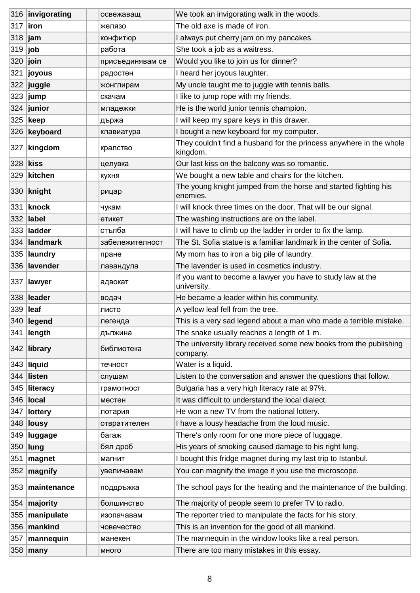|                | 316 invigorating  | освежаващ        | We took an invigorating walk in the woods.                                      |
|----------------|-------------------|------------------|---------------------------------------------------------------------------------|
| 317            | <b>liron</b>      | желязо           | The old axe is made of iron.                                                    |
| 318            | jam               | конфитюр         | I always put cherry jam on my pancakes.                                         |
| 319 <b>job</b> |                   | работа           | She took a job as a waitress.                                                   |
| 320            | join              | присъединявам се | Would you like to join us for dinner?                                           |
| 321            | ∣joyous           | радостен         | I heard her joyous laughter.                                                    |
|                | $ 322 $ juggle    | жонглирам        | My uncle taught me to juggle with tennis balls.                                 |
| 323            | jump              | скачам           | I like to jump rope with my friends.                                            |
|                | $324$ junior      | младежки         | He is the world junior tennis champion.                                         |
|                | 325 keep          | държа            | I will keep my spare keys in this drawer.                                       |
|                | 326 keyboard      | клавиатура       | I bought a new keyboard for my computer.                                        |
|                | 327 kingdom       | кралство         | They couldn't find a husband for the princess anywhere in the whole<br>kingdom. |
| 328 kiss       |                   | целувка          | Our last kiss on the balcony was so romantic.                                   |
| 329            | kitchen           | кухня            | We bought a new table and chairs for the kitchen.                               |
|                | $330$ knight      | рицар            | The young knight jumped from the horse and started fighting his<br>enemies.     |
|                | 331 knock         | чукам            | I will knock three times on the door. That will be our signal.                  |
|                | 332 <b>label</b>  | етикет           | The washing instructions are on the label.                                      |
|                | 333 <b>ladder</b> | стълба           | I will have to climb up the ladder in order to fix the lamp.                    |
|                | 334 landmark      | забележителност  | The St. Sofia statue is a familiar landmark in the center of Sofia.             |
| 335            | laundry           | пране            | My mom has to iron a big pile of laundry.                                       |
|                | 336 lavender      | лавандула        | The lavender is used in cosmetics industry.                                     |
| 337            | <b>lawyer</b>     | адвокат          | If you want to become a lawyer you have to study law at the<br>university.      |
|                | 338 leader        | водач            | He became a leader within his community.                                        |
| 339 leaf       |                   | ЛИСТО            | A yellow leaf fell from the tree.                                               |
|                | 340 legend        | легенда          | This is a very sad legend about a man who made a terrible mistake.              |
| 341            | length            | дължина          | The snake usually reaches a length of 1 m.                                      |
|                | $342$ library     | библиотека       | The university library received some new books from the publishing<br>company.  |
|                | 343 liquid        | течност          | Water is a liquid.                                                              |
| 344            | listen            | слушам           | Listen to the conversation and answer the questions that follow.                |
| 345            | literacy          | грамотност       | Bulgaria has a very high literacy rate at 97%.                                  |
| 346            | local             | местен           | It was difficult to understand the local dialect.                               |
| 347            | lottery           | лотария          | He won a new TV from the national lottery.                                      |
| 348            | <b>lousy</b>      | отвратителен     | I have a lousy headache from the loud music.                                    |
| 349            | luggage           | багаж            | There's only room for one more piece of luggage.                                |
| 350            | lung              | бял дроб         | His years of smoking caused damage to his right lung.                           |
| 351            | magnet            | магнит           | I bought this fridge magnet during my last trip to Istanbul.                    |
| 352            | magnify           | увеличавам       | You can magnify the image if you use the microscope.                            |
|                | 353 maintenance   | поддръжка        | The school pays for the heating and the maintenance of the building.            |
| 354            | majority          | болшинство       | The majority of people seem to prefer TV to radio.                              |
| 355            | manipulate        | изопачавам       | The reporter tried to manipulate the facts for his story.                       |
| 356            | mankind           | човечество       | This is an invention for the good of all mankind.                               |
| 357            | mannequin         | манекен          | The mannequin in the window looks like a real person.                           |
|                | $358$ many        | МНОГО            | There are too many mistakes in this essay.                                      |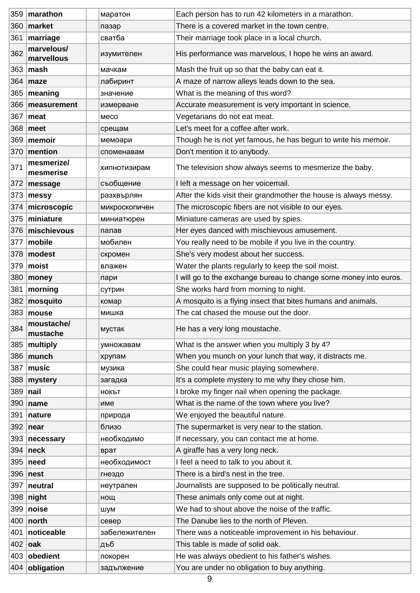|                | 359 marathon             | маратон       | Each person has to run 42 kilometers in a marathon.               |
|----------------|--------------------------|---------------|-------------------------------------------------------------------|
| 360            | market                   | пазар         | There is a covered market in the town centre.                     |
| 361            | marriage                 | сватба        | Their marriage took place in a local church.                      |
| 362            | marvelous/<br>marvellous | изумителен    | His performance was marvelous, I hope he wins an award.           |
|                | $363$ mash               | мачкам        | Mash the fruit up so that the baby can eat it.                    |
|                | $364$ maze               | лабиринт      | A maze of narrow alleys leads down to the sea.                    |
| 365            | meaning                  | значение      | What is the meaning of this word?                                 |
|                | 366 measurement          | измерване     | Accurate measurement is very important in science.                |
| 367            | meat                     | Meco          | Vegetarians do not eat meat.                                      |
| 368            | meet                     | срещам        | Let's meet for a coffee after work.                               |
| 369            | memoir                   | мемоари       | Though he is not yet famous, he has begun to write his memoir.    |
| 370            | mention                  | споменавам    | Don't mention it to anybody.                                      |
| 371            | mesmerize/<br>mesmerise  | хипнотизирам  | The television show always seems to mesmerize the baby.           |
|                | 372 message              | съобщение     | I left a message on her voicemail.                                |
| 373            | messy                    | разхвърлян    | After the kids visit their grandmother the house is always messy. |
| 374            | microscopic              | микроскопичен | The microscopic fibers are not visible to our eyes.               |
| 375            | miniature                | миниатюрен    | Miniature cameras are used by spies.                              |
|                | 376 mischievous          | палав         | Her eyes danced with mischievous amusement.                       |
| 377            | mobile                   | мобилен       | You really need to be mobile if you live in the country.          |
| 378            | modest                   | скромен       | She's very modest about her success.                              |
| 379            | moist                    | влажен        | Water the plants regularly to keep the soil moist.                |
| 380            | money                    | пари          | I will go to the exchange bureau to change some money into euros. |
| 381            | morning                  | сутрин        | She works hard from morning to night.                             |
|                | $382$ mosquito           | комар         | A mosquito is a flying insect that bites humans and animals.      |
|                | $383$ mouse              | мишка         | The cat chased the mouse out the door.                            |
| 384            | moustache/<br>mustache   | мустак        | He has a very long moustache.                                     |
|                | 385   multiply           | умножавам     | What is the answer when you multiply 3 by 4?                      |
|                | 386   munch              | хрупам        | When you munch on your lunch that way, it distracts me.           |
| 387            | music                    | музика        | She could hear music playing somewhere.                           |
|                | 388 mystery              | загадка       | It's a complete mystery to me why they chose him.                 |
| $389$ nail     |                          | <b>НОКЪТ</b>  | I broke my finger nail when opening the package.                  |
|                | 390 $ name$              | име           | What is the name of the town where you live?                      |
| 391            | nature                   | природа       | We enjoyed the beautiful nature.                                  |
|                | $392$ near               | близо         | The supermarket is very near to the station.                      |
|                | 393 necessary            | необходимо    | If necessary, you can contact me at home.                         |
| 394            | neck                     | врат          | A giraffe has a very long neck.                                   |
| 395            | need                     | необходимост  | I feel a need to talk to you about it.                            |
|                | $396$ nest               | гнездо        | There is a bird's nest in the tree.                               |
| 397            | neutral                  | неутрален     | Journalists are supposed to be politically neutral.               |
|                | $398$ night              | нощ           | These animals only come out at night.                             |
|                | 399   noise              | шум           | We had to shout above the noise of the traffic.                   |
| 400            | $ $ north                | север         | The Danube lies to the north of Pleven.                           |
| 401            | noticeable               | забележителен | There was a noticeable improvement in his behaviour.              |
| 402 <b>oak</b> |                          | дъб           | This table is made of solid oak.                                  |
|                | 403 obedient             | покорен       | He was always obedient to his father's wishes.                    |
|                | 404 obligation           | задължение    | You are under no obligation to buy anything.                      |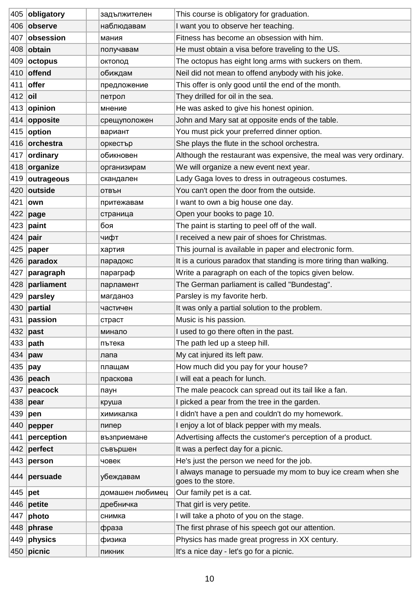|           | 405 obligatory    | задължителен    | This course is obligatory for graduation.                                          |
|-----------|-------------------|-----------------|------------------------------------------------------------------------------------|
|           | 406 observe       | наблюдавам      | I want you to observe her teaching.                                                |
|           | 407 obsession     | мания           | Fitness has become an obsession with him.                                          |
|           | 408 <b>obtain</b> | получавам       | He must obtain a visa before traveling to the US.                                  |
|           | $409$ octopus     | октопод         | The octopus has eight long arms with suckers on them.                              |
|           | 410 offend        | обиждам         | Neil did not mean to offend anybody with his joke.                                 |
| 411       | offer             | предложение     | This offer is only good until the end of the month.                                |
| $412$ oil |                   | петрол          | They drilled for oil in the sea.                                                   |
|           | 413 opinion       | мнение          | He was asked to give his honest opinion.                                           |
|           | 414 opposite      | срещуположен    | John and Mary sat at opposite ends of the table.                                   |
|           | 415   option      | вариант         | You must pick your preferred dinner option.                                        |
|           | 416 orchestra     | оркестър        | She plays the flute in the school orchestra.                                       |
|           | 417 ordinary      | обикновен       | Although the restaurant was expensive, the meal was very ordinary.                 |
|           | 418 organize      | организирам     | We will organize a new event next year.                                            |
|           | 419 outrageous    | скандален       | Lady Gaga loves to dress in outrageous costumes.                                   |
|           | 420 outside       | ОТВЪН           | You can't open the door from the outside.                                          |
| 421       | own               | притежавам      | I want to own a big house one day.                                                 |
|           | 422 page          | страница        | Open your books to page 10.                                                        |
|           | 423 $ $ paint     | боя             | The paint is starting to peel off of the wall.                                     |
|           | 424 $ pair$       | чифт            | I received a new pair of shoes for Christmas.                                      |
|           | 425   paper       | хартия          | This journal is available in paper and electronic form.                            |
|           | 426 paradox       | парадокс        | It is a curious paradox that standing is more tiring than walking.                 |
|           | 427   paragraph   | параграф        | Write a paragraph on each of the topics given below.                               |
| 428       | parliament        | парламент       | The German parliament is called "Bundestag".                                       |
| 429       | parsley           | магданоз        | Parsley is my favorite herb.                                                       |
|           | 430 $ partial$    | частичен        | It was only a partial solution to the problem.                                     |
|           | 431 passion       | страст          | Music is his passion.                                                              |
|           | $432$ past        | минало          | I used to go there often in the past.                                              |
|           | 433 $ $ path      | пътека          | The path led up a steep hill.                                                      |
|           | 434 $ $ paw       | лапа            | My cat injured its left paw.                                                       |
| 435   pay |                   | плащам          | How much did you pay for your house?                                               |
|           | 436 peach         | праскова        | I will eat a peach for lunch.                                                      |
| 437       | peacock           | паун            | The male peacock can spread out its tail like a fan.                               |
|           | 438 pear          | круша           | I picked a pear from the tree in the garden.                                       |
|           | 439   pen         | химикалка       | I didn't have a pen and couldn't do my homework.                                   |
|           | 440 pepper        | пипер           | I enjoy a lot of black pepper with my meals.                                       |
| 441       | perception        | възприемане     | Advertising affects the customer's perception of a product.                        |
|           | 442 perfect       | съвършен        | It was a perfect day for a picnic.                                                 |
|           | 443   person      | човек           | He's just the person we need for the job.                                          |
|           | 444 persuade      | убеждавам       | I always manage to persuade my mom to buy ice cream when she<br>goes to the store. |
| 445   pet |                   | домашен любимец | Our family pet is a cat.                                                           |
|           | 446 $ $ petite    | дребничка       | That girl is very petite.                                                          |
| 447       | photo             | снимка          | I will take a photo of you on the stage.                                           |
|           | 448 phrase        | фраза           | The first phrase of his speech got our attention.                                  |
|           | 449 physics       | физика          | Physics has made great progress in XX century.                                     |
|           | $450$ picnic      | ПИКНИК          | It's a nice day - let's go for a picnic.                                           |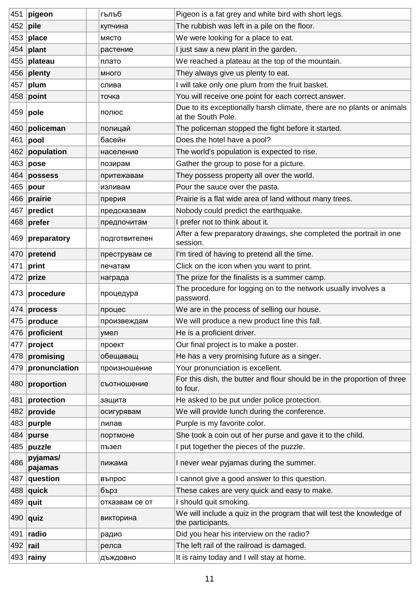| 451             | pigeon              | гълъб          | Pigeon is a fat grey and white bird with short legs.                                         |
|-----------------|---------------------|----------------|----------------------------------------------------------------------------------------------|
| $ 452 $ pile    |                     | купчина        | The rubbish was left in a pile on the floor.                                                 |
|                 | $453$ place         | МЯСТО          | We were looking for a place to eat.                                                          |
|                 | $454$ plant         | растение       | I just saw a new plant in the garden.                                                        |
| 455             | plateau             | плато          | We reached a plateau at the top of the mountain.                                             |
|                 | $ 456 $ plenty      | много          | They always give us plenty to eat.                                                           |
| 457             | plum                | слива          | I will take only one plum from the fruit basket.                                             |
|                 | $458$ point         | точка          | You will receive one point for each correct answer.                                          |
|                 | 459   <b>pole</b>   | полюс          | Due to its exceptionally harsh climate, there are no plants or animals<br>at the South Pole. |
|                 | 460 policeman       | полицай        | The policeman stopped the fight before it started.                                           |
| 461             | pool                | басейн         | Does the hotel have a pool?                                                                  |
|                 | 462 population      | население      | The world's population is expected to rise.                                                  |
|                 | $463$ pose          | позирам        | Gather the group to pose for a picture.                                                      |
| 464             | possess             | притежавам     | They possess property all over the world.                                                    |
| 465             | pour                | изливам        | Pour the sauce over the pasta.                                                               |
|                 | 466 prairie         | прерия         | Prairie is a flat wide area of land without many trees.                                      |
|                 | $467$ predict       | предсказвам    | Nobody could predict the earthquake.                                                         |
|                 | 468 prefer          | предпочитам    | I prefer not to think about it.                                                              |
|                 | 469 preparatory     | подготвителен  | After a few preparatory drawings, she completed the portrait in one<br>session.              |
|                 | $470$ pretend       | преструвам се  | I'm tired of having to pretend all the time.                                                 |
| 471             | print               | печатам        | Click on the icon when you want to print.                                                    |
|                 | 472 prize           | награда        | The prize for the finalists is a summer camp.                                                |
| 473             | procedure           | процедура      | The procedure for logging on to the network usually involves a<br>password.                  |
|                 | $474$ process       | процес         | We are in the process of selling our house.                                                  |
|                 | $ 475 $ produce     | произвеждам    | We will produce a new product line this fall.                                                |
| 476             | proficient          | умел           | He is a proficient driver.                                                                   |
| 477             | project             | проект         | Our final project is to make a poster.                                                       |
|                 | $478$ promising     | обещаващ       | He has a very promising future as a singer.                                                  |
|                 | 479 pronunciation   | произношение   | Your pronunciation is excellent.                                                             |
| 480             | proportion          | съотношение    | For this dish, the butter and flour should be in the proportion of three<br>to four.         |
| 481             | protection          | защита         | He asked to be put under police protection.                                                  |
|                 | 482 provide         | осигурявам     | We will provide lunch during the conference.                                                 |
|                 | $483$ purple        | лилав          | Purple is my favorite color.                                                                 |
| 484             | purse               | портмоне       | She took a coin out of her purse and gave it to the child.                                   |
| 485             | puzzle              | пъзел          | I put together the pieces of the puzzle.                                                     |
| 486             | pyjamas/<br>pajamas | пижама         | I never wear pyjamas during the summer.                                                      |
|                 | $487$ question      | въпрос         | I cannot give a good answer to this question.                                                |
|                 | $ 488 $ quick       | бърз           | These cakes are very quick and easy to make.                                                 |
| 489   quit      |                     | отказвам се от | I should quit smoking.                                                                       |
|                 | $ 490 $ quiz        | викторина      | We will include a quiz in the program that will test the knowledge of<br>the participants.   |
| 491             | radio               | радио          | Did you hear his interview on the radio?                                                     |
| 492 <b>rail</b> |                     | релса          | The left rail of the railroad is damaged.                                                    |
|                 | $493$ rainy         | дъждовно       | It is rainy today and I will stay at home.                                                   |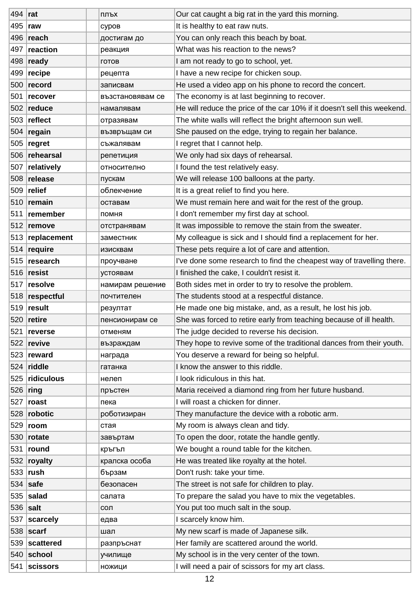| $ 494 $ rat      |                 | ПЛЪХ             | Our cat caught a big rat in the yard this morning.                       |
|------------------|-----------------|------------------|--------------------------------------------------------------------------|
| 495   <b>raw</b> |                 | суров            | It is healthy to eat raw nuts.                                           |
|                  | 496 reach       | достигам до      | You can only reach this beach by boat.                                   |
|                  | 497 reaction    | реакция          | What was his reaction to the news?                                       |
|                  | $498$ ready     | ГОТОВ            | I am not ready to go to school, yet.                                     |
|                  | $499$ recipe    | рецепта          | I have a new recipe for chicken soup.                                    |
|                  | 500 record      | записвам         | He used a video app on his phone to record the concert.                  |
| 501              | recover         | възстановявам се | The economy is at last beginning to recover.                             |
|                  | $502$ reduce    | намалявам        | He will reduce the price of the car 10% if it doesn't sell this weekend. |
|                  | 503 reflect     | отразявам        | The white walls will reflect the bright afternoon sun well.              |
|                  | 504 $ $ regain  | възвръщам си     | She paused on the edge, trying to regain her balance.                    |
| 505              | regret          | съжалявам        | I regret that I cannot help.                                             |
|                  | 506 rehearsal   | репетиция        | We only had six days of rehearsal.                                       |
|                  | 507 relatively  | относително      | I found the test relatively easy.                                        |
|                  | 508 release     | пускам           | We will release 100 balloons at the party.                               |
|                  | $509$ relief    | облекчение       | It is a great relief to find you here.                                   |
|                  | $510$ remain    | оставам          | We must remain here and wait for the rest of the group.                  |
|                  | 511 remember    | помня            | I don't remember my first day at school.                                 |
|                  | $512$ remove    | отстранявам      | It was impossible to remove the stain from the sweater.                  |
|                  | 513 replacement | заместник        | My colleague is sick and I should find a replacement for her.            |
|                  | $514$ require   | изисквам         | These pets require a lot of care and attention.                          |
|                  | 515 research    | проучване        | I've done some research to find the cheapest way of travelling there.    |
|                  | $516$ resist    | устоявам         | I finished the cake, I couldn't resist it.                               |
|                  | $517$ resolve   | намирам решение  | Both sides met in order to try to resolve the problem.                   |
|                  | 518 respectful  | почтителен       | The students stood at a respectful distance.                             |
|                  | $519$ result    | резултат         | He made one big mistake, and, as a result, he lost his job.              |
|                  | $520$ retire    | пенсионирам се   | She was forced to retire early from teaching because of ill health.      |
| 521              | reverse         | отменям          | The judge decided to reverse his decision.                               |
|                  | 522 revive      | възраждам        | They hope to revive some of the traditional dances from their youth.     |
|                  | 523 reward      | награда          | You deserve a reward for being so helpful.                               |
|                  | $524$ riddle    | гатанка          | I know the answer to this riddle.                                        |
| 525              | ridiculous      | нелеп            | I look ridiculous in this hat.                                           |
| 526              | ring            | пръстен          | Maria received a diamond ring from her future husband.                   |
| 527              | roast           | пека             | I will roast a chicken for dinner.                                       |
|                  | 528 robotic     | роботизиран      | They manufacture the device with a robotic arm.                          |
| 529              | room            | стая             | My room is always clean and tidy.                                        |
|                  | 530 $rotate$    | завъртам         | To open the door, rotate the handle gently.                              |
| 531              | round           | кръгъл           | We bought a round table for the kitchen.                                 |
| 532              | royalty         | кралска особа    | He was treated like royalty at the hotel.                                |
|                  | $533$ rush      | бързам           | Don't rush: take your time.                                              |
| 534              | safe            | безопасен        | The street is not safe for children to play.                             |
| 535              | salad           | салата           | To prepare the salad you have to mix the vegetables.                     |
| 536 $ salt$      |                 | сол              | You put too much salt in the soup.                                       |
| 537              | scarcely        | едва             | I scarcely know him.                                                     |
| 538              | scart           | шал              | My new scarf is made of Japanese silk.                                   |
| 539              | scattered       | разпръснат       | Her family are scattered around the world.                               |
|                  | 540 school      | училище          | My school is in the very center of the town.                             |
|                  | 541 scissors    | ножици           | I will need a pair of scissors for my art class.                         |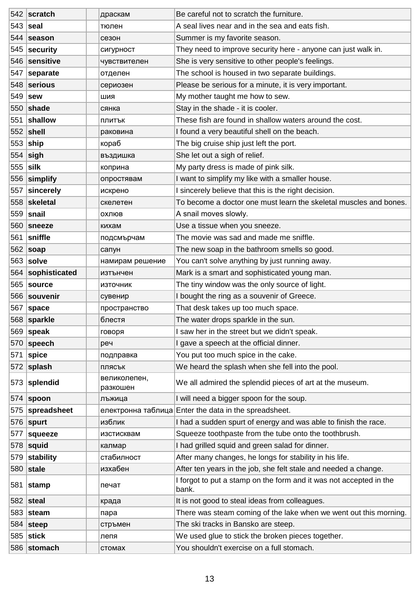|            | 542 scratch       | драскам                  | Be careful not to scratch the furniture.                                    |
|------------|-------------------|--------------------------|-----------------------------------------------------------------------------|
|            | $543$ seal        | тюлен                    | A seal lives near and in the sea and eats fish.                             |
|            | 544 season        | сезон                    | Summer is my favorite season.                                               |
|            | 545 security      | сигурност                | They need to improve security here - anyone can just walk in.               |
| 546        | sensitive         | чувствителен             | She is very sensitive to other people's feelings.                           |
|            | 547 separate      | отделен                  | The school is housed in two separate buildings.                             |
|            | 548 serious       | сериозен                 | Please be serious for a minute, it is very important.                       |
|            | 549   sew         | шия                      | My mother taught me how to sew.                                             |
|            | $550$ shade       | сянка                    | Stay in the shade - it is cooler.                                           |
| 551        | shallow           | плитък                   | These fish are found in shallow waters around the cost.                     |
|            | $552$ shell       | раковина                 | I found a very beautiful shell on the beach.                                |
|            | $553$ ship        | кораб                    | The big cruise ship just left the port.                                     |
|            | $554$ sigh        | въздишка                 | She let out a sigh of relief.                                               |
| $555$ silk |                   | коприна                  | My party dress is made of pink silk.                                        |
|            | 556 simplify      | опростявам               | I want to simplify my like with a smaller house.                            |
|            | 557 sincerely     | искрено                  | I sincerely believe that this is the right decision.                        |
|            | 558 skeletal      | скелетен                 | To become a doctor one must learn the skeletal muscles and bones.           |
|            | $559$ snail       | ОХЛЮВ                    | A snail moves slowly.                                                       |
|            | 560 sneeze        | кихам                    | Use a tissue when you sneeze.                                               |
| 561        | sniffle           | подсмърчам               | The movie was sad and made me sniffle.                                      |
|            | 562 soap          | сапун                    | The new soap in the bathroom smells so good.                                |
|            | $563$ solve       | намирам решение          | You can't solve anything by just running away.                              |
|            | 564 sophisticated | изтънчен                 | Mark is a smart and sophisticated young man.                                |
|            | 565   source      | източник                 | The tiny window was the only source of light.                               |
|            | 566 souvenir      | сувенир                  | I bought the ring as a souvenir of Greece.                                  |
|            | 567   space       | пространство             | That desk takes up too much space.                                          |
|            | 568 sparkle       | блестя                   | The water drops sparkle in the sun.                                         |
|            | 569 $ $ speak     | говоря                   | I saw her in the street but we didn't speak.                                |
| 570        | $ $ speech        | реч                      | I gave a speech at the official dinner.                                     |
| 571        | $ $ spice         | подправка                | You put too much spice in the cake.                                         |
|            | 572 splash        | плясък                   | We heard the splash when she fell into the pool.                            |
|            | 573 splendid      | великолепен,<br>разкошен | We all admired the splendid pieces of art at the museum.                    |
|            | $574$ spoon       | лъжица                   | I will need a bigger spoon for the soup.                                    |
| 575        | spreadsheet       |                          | електронна таблица Enter the data in the spreadsheet.                       |
|            | 576   $spurt$     | изблик                   | I had a sudden spurt of energy and was able to finish the race.             |
| 577        | squeeze           | изстисквам               | Squeeze toothpaste from the tube onto the toothbrush.                       |
|            | $578$ squid       | калмар                   | I had grilled squid and green salad for dinner.                             |
| 579        | stability         | стабилност               | After many changes, he longs for stability in his life.                     |
|            | $580$ stale       | изхабен                  | After ten years in the job, she felt stale and needed a change.             |
| 581        | stamp             | печат                    | I forgot to put a stamp on the form and it was not accepted in the<br>bank. |
|            | $582$ steal       | крада                    | It is not good to steal ideas from colleagues.                              |
| 583        | $ $ steam         | пара                     | There was steam coming of the lake when we went out this morning.           |
|            | 584 steep         | стръмен                  | The ski tracks in Bansko are steep.                                         |
|            | 585 stick         | лепя                     | We used glue to stick the broken pieces together.                           |
|            | 586 stomach       | стомах                   | You shouldn't exercise on a full stomach.                                   |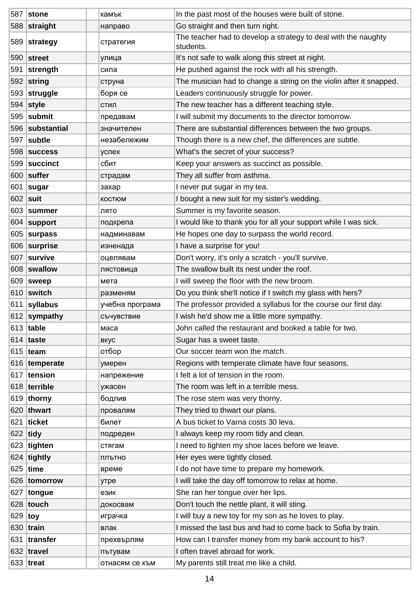|            | 587 stone       | камък           | In the past most of the houses were built of stone.                         |
|------------|-----------------|-----------------|-----------------------------------------------------------------------------|
|            | 588 straight    | направо         | Go straight and then turn right.                                            |
|            | 589 strategy    | стратегия       | The teacher had to develop a strategy to deal with the naughty<br>students. |
|            | $590$ street    | улица           | It's not safe to walk along this street at night.                           |
| 591        | strength        | сила            | He pushed against the rock with all his strength.                           |
|            | $592$ string    | струна          | The musician had to change a string on the violin after it snapped.         |
|            | 593 struggle    | боря се         | Leaders continuously struggle for power.                                    |
|            | $594$ style     | стил            | The new teacher has a different teaching style.                             |
|            | 595 submit      | предавам        | I will submit my documents to the director tomorrow.                        |
|            | 596 substantial | значителен      | There are substantial differences between the two groups.                   |
| 597        | subtle          | незабележим     | Though there is a new chef, the differences are subtle.                     |
|            | 598 success     | успех           | What's the secret of your success?                                          |
|            | 599 succinct    | сбит            | Keep your answers as succinct as possible.                                  |
|            | 600 suffer      | страдам         | They all suffer from asthma.                                                |
| 601        | sugar           | захар           | I never put sugar in my tea.                                                |
| 602   suit |                 | <b>КОСТЮМ</b>   | I bought a new suit for my sister's wedding.                                |
|            | 603 summer      | лято            | Summer is my favorite season.                                               |
|            | $604$ support   | подкрепа        | I would like to thank you for all your support while I was sick.            |
|            | $605$ surpass   | надминавам      | He hopes one day to surpass the world record.                               |
| 606        | surprise        | изненада        | I have a surprise for you!                                                  |
|            | 607 survive     | оцелявам        | Don't worry, it's only a scratch - you'll survive.                          |
|            | 608 swallow     | лястовица       | The swallow built its nest under the roof.                                  |
|            | 609   sweep     | мета            | I will sweep the floor with the new broom.                                  |
|            | $610$ switch    | разменям        | Do you think she'll notice if I switch my glass with hers?                  |
| 611        | syllabus        | учебна програма | The professor provided a syllabus for the course our first day.             |
|            | 612 sympathy    | съчувствие      | I wish he'd show me a little more sympathy.                                 |
|            | 613 table       | маса            | John called the restaurant and booked a table for two.                      |
|            | $614$ taste     | вкус            | Sugar has a sweet taste.                                                    |
|            | 615 team        | отбор           | Our soccer team won the match.                                              |
|            | 616 temperate   | умерен          | Regions with temperate climate have four seasons.                           |
| 617        | tension         | напрежение      | I felt a lot of tension in the room.                                        |
|            | 618 terrible    | ужасен          | The room was left in a terrible mess.                                       |
|            | $619$ thorny    | бодлив          | The rose stem was very thorny.                                              |
|            | 620 thwart      | провалям        | They tried to thwart our plans.                                             |
|            | $621$ ticket    | билет           | A bus ticket to Varna costs 30 leva.                                        |
| $622$ tidy |                 | подреден        | I always keep my room tidy and clean.                                       |
|            | 623 tighten     | стягам          | I need to tighten my shoe laces before we leave.                            |
|            | $624$ tightly   | плътно          | Her eyes were tightly closed.                                               |
|            | $625$ time      | време           | I do not have time to prepare my homework.                                  |
|            | 626 tomorrow    | утре            | I will take the day off tomorrow to relax at home.                          |
|            | 627 tongue      | език            | She ran her tongue over her lips.                                           |
|            | 628 touch       | докосвам        | Don't touch the nettle plant, it will sting.                                |
| 629        | $ $ toy         | играчка         | I will buy a new toy for my son as he loves to play.                        |
|            | 630 train       | влак            | I missed the last bus and had to come back to Sofia by train.               |
| 631        | transfer        | прехвърлям      | How can I transfer money from my bank account to his?                       |
|            | 632 travel      | пътувам         | I often travel abroad for work.                                             |
|            | 633 treat       | отнасям се към  | My parents still treat me like a child.                                     |
|            |                 |                 |                                                                             |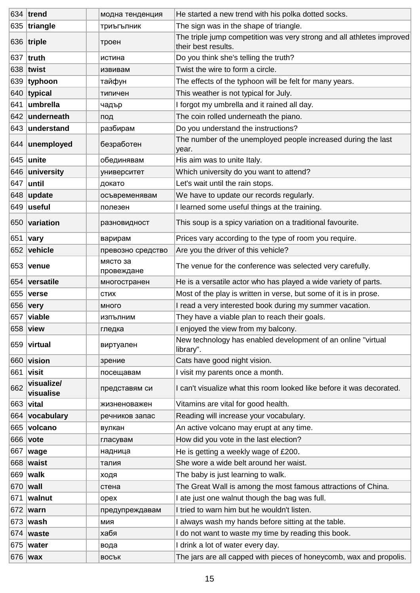|         | 634 trend               | модна тенденция        | He started a new trend with his polka dotted socks.                                          |
|---------|-------------------------|------------------------|----------------------------------------------------------------------------------------------|
|         | 635 triangle            | триъгълник             | The sign was in the shape of triangle.                                                       |
|         | $ 636 $ triple          | троен                  | The triple jump competition was very strong and all athletes improved<br>their best results. |
|         | 637  truth              | истина                 | Do you think she's telling the truth?                                                        |
|         | 638 twist               | извивам                | Twist the wire to form a circle.                                                             |
| 639     | typhoon                 | тайфун                 | The effects of the typhoon will be felt for many years.                                      |
|         | $640$ typical           | типичен                | This weather is not typical for July.                                                        |
| 641     | umbrella                | чадър                  | I forgot my umbrella and it rained all day.                                                  |
|         | 642 underneath          | под                    | The coin rolled underneath the piano.                                                        |
|         | 643 understand          | разбирам               | Do you understand the instructions?                                                          |
|         | 644 unemployed          | безработен             | The number of the unemployed people increased during the last<br>year.                       |
|         | 645   unite             | обединявам             | His aim was to unite Italy.                                                                  |
|         | 646 university          | университет            | Which university do you want to attend?                                                      |
| 647     | until                   | докато                 | Let's wait until the rain stops.                                                             |
| 648     | update                  | осъвременявам          | We have to update our records regularly.                                                     |
|         | 649  useful             | полезен                | I learned some useful things at the training.                                                |
|         | 650 variation           | разновидност           | This soup is a spicy variation on a traditional favourite.                                   |
| 651     | vary                    | варирам                | Prices vary according to the type of room you require.                                       |
| 652     | vehicle                 | превозно средство      | Are you the driver of this vehicle?                                                          |
|         | 653   <b>venue</b>      | място за<br>провеждане | The venue for the conference was selected very carefully.                                    |
|         | 654 versatile           | многостранен           | He is a versatile actor who has played a wide variety of parts.                              |
| 655     | verse                   | <b>CTMX</b>            | Most of the play is written in verse, but some of it is in prose.                            |
| 656     | <b>very</b>             | много                  | I read a very interested book during my summer vacation.                                     |
|         | 657 viable              | изпълним               | They have a viable plan to reach their goals.                                                |
|         | 658 view                | гледка                 | I enjoyed the view from my balcony.                                                          |
|         | 659 virtual             | виртуален              | New technology has enabled development of an online "virtual<br>library".                    |
|         | 660 vision              | зрение                 | Cats have good night vision.                                                                 |
| 661     | visit                   | посещавам              | I visit my parents once a month.                                                             |
| 662     | visualize/<br>visualise | представям си          | I can't visualize what this room looked like before it was decorated.                        |
|         | 663   vital             | жизненоважен           | Vitamins are vital for good health.                                                          |
|         | 664 vocabulary          | речников запас         | Reading will increase your vocabulary.                                                       |
| 665     | volcano                 | вулкан                 | An active volcano may erupt at any time.                                                     |
|         | 666 vote                | гласувам               | How did you vote in the last election?                                                       |
| 667     | wage                    | надница                | He is getting a weekly wage of £200.                                                         |
| 668     | waist                   | талия                  | She wore a wide belt around her waist.                                                       |
| 669     | walk                    | ходя                   | The baby is just learning to walk.                                                           |
| 670     | wall                    | стена                  | The Great Wall is among the most famous attractions of China.                                |
| 671     | walnut                  | opex                   | I ate just one walnut though the bag was full.                                               |
| 672     | warn                    | предупреждавам         | I tried to warn him but he wouldn't listen.                                                  |
|         | 673   wash              | МИЯ                    | I always wash my hands before sitting at the table.                                          |
| 674     | waste                   | хабя                   | I do not want to waste my time by reading this book.                                         |
| 675     | water                   | вода                   | I drink a lot of water every day.                                                            |
| 676 wax |                         | <b>ВОСЪК</b>           | The jars are all capped with pieces of honeycomb, wax and propolis.                          |